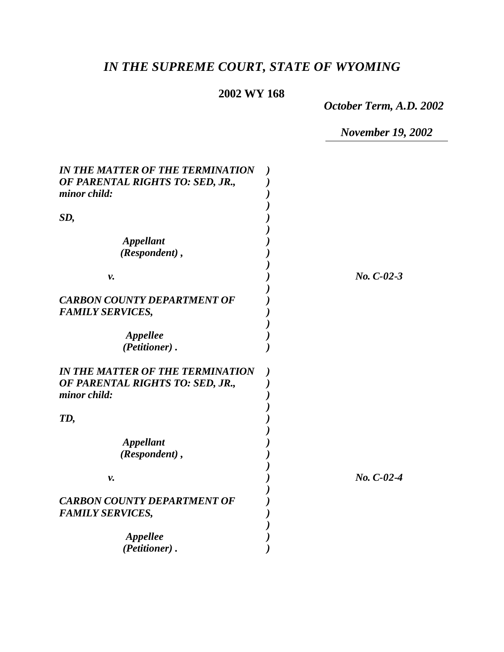# *IN THE SUPREME COURT, STATE OF WYOMING*

# **2002 WY 168**

*October Term, A.D. 2002*

*November 19, 2002*

| <b>IN THE MATTER OF THE TERMINATION</b><br>OF PARENTAL RIGHTS TO: SED, JR.,<br>minor child: |              |
|---------------------------------------------------------------------------------------------|--------------|
| SD,                                                                                         |              |
| <b>Appellant</b><br>(Respondent),                                                           |              |
| ν.                                                                                          | $No. C-02-3$ |
| <b>CARBON COUNTY DEPARTMENT OF</b><br><b>FAMILY SERVICES,</b>                               |              |
| Appellee<br>(Petitioner).                                                                   |              |
| <b>IN THE MATTER OF THE TERMINATION</b><br>OF PARENTAL RIGHTS TO: SED, JR.,<br>minor child: |              |
| TD,                                                                                         |              |
| <b>Appellant</b><br>(Respondent),                                                           |              |
| ν.                                                                                          | $No. C-02-4$ |
| <b>CARBON COUNTY DEPARTMENT OF</b><br><b>FAMILY SERVICES,</b>                               |              |
| Appellee<br>(Petitioner).                                                                   |              |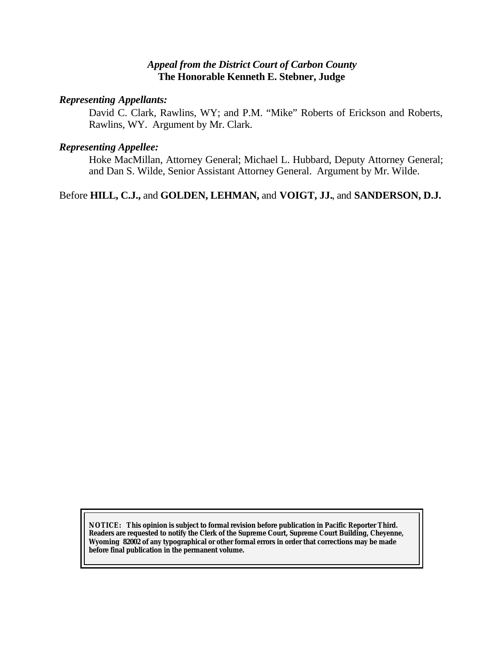#### *Appeal from the District Court of Carbon County* **The Honorable Kenneth E. Stebner, Judge**

#### *Representing Appellants:*

David C. Clark, Rawlins, WY; and P.M. "Mike" Roberts of Erickson and Roberts, Rawlins, WY. Argument by Mr. Clark.

#### *Representing Appellee:*

Hoke MacMillan, Attorney General; Michael L. Hubbard, Deputy Attorney General; and Dan S. Wilde, Senior Assistant Attorney General. Argument by Mr. Wilde.

Before **HILL, C.J.,** and **GOLDEN, LEHMAN,** and **VOIGT, JJ.**, and **SANDERSON, D.J.**

**NOTICE:** *This opinion is subject to formal revision before publication in Pacific Reporter Third. Readers are requested to notify the Clerk of the Supreme Court, Supreme Court Building, Cheyenne, Wyoming 82002 of any typographical or other formal errors in order that corrections may be made before final publication in the permanent volume.*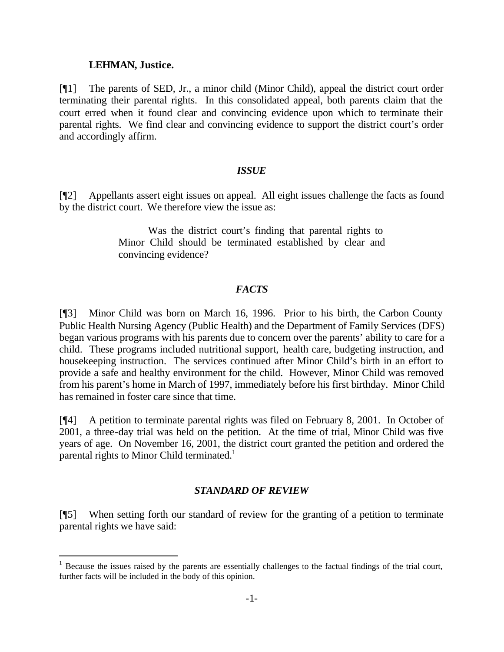#### **LEHMAN, Justice.**

l

[¶1] The parents of SED, Jr., a minor child (Minor Child), appeal the district court order terminating their parental rights. In this consolidated appeal, both parents claim that the court erred when it found clear and convincing evidence upon which to terminate their parental rights. We find clear and convincing evidence to support the district court's order and accordingly affirm.

#### *ISSUE*

[¶2] Appellants assert eight issues on appeal. All eight issues challenge the facts as found by the district court. We therefore view the issue as:

> Was the district court's finding that parental rights to Minor Child should be terminated established by clear and convincing evidence?

#### *FACTS*

[¶3] Minor Child was born on March 16, 1996. Prior to his birth, the Carbon County Public Health Nursing Agency (Public Health) and the Department of Family Services (DFS) began various programs with his parents due to concern over the parents' ability to care for a child. These programs included nutritional support, health care, budgeting instruction, and housekeeping instruction. The services continued after Minor Child's birth in an effort to provide a safe and healthy environment for the child. However, Minor Child was removed from his parent's home in March of 1997, immediately before his first birthday. Minor Child has remained in foster care since that time.

[¶4] A petition to terminate parental rights was filed on February 8, 2001. In October of 2001, a three-day trial was held on the petition. At the time of trial, Minor Child was five years of age. On November 16, 2001, the district court granted the petition and ordered the parental rights to Minor Child terminated. $1$ 

#### *STANDARD OF REVIEW*

[¶5] When setting forth our standard of review for the granting of a petition to terminate parental rights we have said:

 $1$  Because the issues raised by the parents are essentially challenges to the factual findings of the trial court, further facts will be included in the body of this opinion.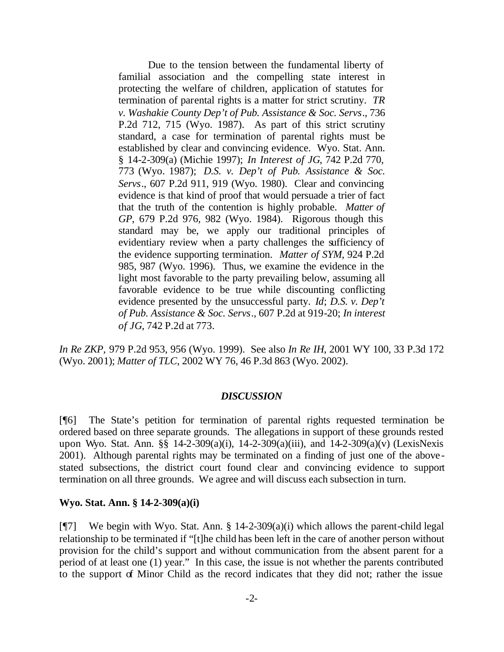Due to the tension between the fundamental liberty of familial association and the compelling state interest in protecting the welfare of children, application of statutes for termination of parental rights is a matter for strict scrutiny. *TR v. Washakie County Dep't of Pub. Assistance & Soc. Servs*., 736 P.2d 712, 715 (Wyo. 1987). As part of this strict scrutiny standard, a case for termination of parental rights must be established by clear and convincing evidence. Wyo. Stat. Ann. § 14-2-309(a) (Michie 1997); *In Interest of JG*, 742 P.2d 770, 773 (Wyo. 1987); *D.S. v. Dep't of Pub. Assistance & Soc. Servs*., 607 P.2d 911, 919 (Wyo. 1980). Clear and convincing evidence is that kind of proof that would persuade a trier of fact that the truth of the contention is highly probable. *Matter of GP*, 679 P.2d 976, 982 (Wyo. 1984). Rigorous though this standard may be, we apply our traditional principles of evidentiary review when a party challenges the sufficiency of the evidence supporting termination. *Matter of SYM*, 924 P.2d 985, 987 (Wyo. 1996). Thus, we examine the evidence in the light most favorable to the party prevailing below, assuming all favorable evidence to be true while discounting conflicting evidence presented by the unsuccessful party. *Id*; *D.S. v. Dep't of Pub. Assistance & Soc. Servs*., 607 P.2d at 919-20; *In interest of JG*, 742 P.2d at 773.

*In Re ZKP,* 979 P.2d 953, 956 (Wyo. 1999). See also *In Re IH*, 2001 WY 100, 33 P.3d 172 (Wyo. 2001); *Matter of TLC*, 2002 WY 76, 46 P.3d 863 (Wyo. 2002).

#### *DISCUSSION*

[¶6] The State's petition for termination of parental rights requested termination be ordered based on three separate grounds. The allegations in support of these grounds rested upon Wyo. Stat. Ann. §§ 14-2-309(a)(i), 14-2-309(a)(iii), and 14-2-309(a)(v) (LexisNexis 2001). Although parental rights may be terminated on a finding of just one of the abovestated subsections, the district court found clear and convincing evidence to support termination on all three grounds. We agree and will discuss each subsection in turn.

#### **Wyo. Stat. Ann. § 14-2-309(a)(i)**

[ $\degree$ [7] We begin with Wyo. Stat. Ann. § 14-2-309(a)(i) which allows the parent-child legal relationship to be terminated if "[t]he child has been left in the care of another person without provision for the child's support and without communication from the absent parent for a period of at least one (1) year." In this case, the issue is not whether the parents contributed to the support of Minor Child as the record indicates that they did not; rather the issue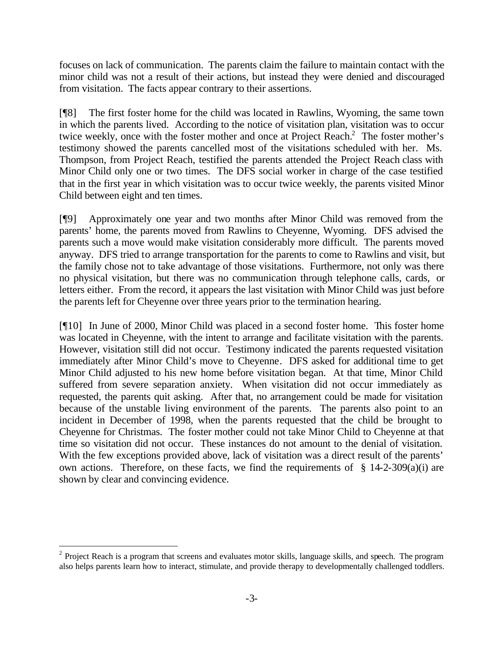focuses on lack of communication. The parents claim the failure to maintain contact with the minor child was not a result of their actions, but instead they were denied and discouraged from visitation. The facts appear contrary to their assertions.

[¶8] The first foster home for the child was located in Rawlins, Wyoming, the same town in which the parents lived. According to the notice of visitation plan, visitation was to occur twice weekly, once with the foster mother and once at Project Reach. $^2$  The foster mother's testimony showed the parents cancelled most of the visitations scheduled with her. Ms. Thompson, from Project Reach, testified the parents attended the Project Reach class with Minor Child only one or two times. The DFS social worker in charge of the case testified that in the first year in which visitation was to occur twice weekly, the parents visited Minor Child between eight and ten times.

[¶9] Approximately one year and two months after Minor Child was removed from the parents' home, the parents moved from Rawlins to Cheyenne, Wyoming. DFS advised the parents such a move would make visitation considerably more difficult. The parents moved anyway. DFS tried to arrange transportation for the parents to come to Rawlins and visit, but the family chose not to take advantage of those visitations. Furthermore, not only was there no physical visitation, but there was no communication through telephone calls, cards, or letters either. From the record, it appears the last visitation with Minor Child was just before the parents left for Cheyenne over three years prior to the termination hearing.

[¶10] In June of 2000, Minor Child was placed in a second foster home. This foster home was located in Cheyenne, with the intent to arrange and facilitate visitation with the parents. However, visitation still did not occur. Testimony indicated the parents requested visitation immediately after Minor Child's move to Cheyenne. DFS asked for additional time to get Minor Child adjusted to his new home before visitation began. At that time, Minor Child suffered from severe separation anxiety. When visitation did not occur immediately as requested, the parents quit asking. After that, no arrangement could be made for visitation because of the unstable living environment of the parents. The parents also point to an incident in December of 1998, when the parents requested that the child be brought to Cheyenne for Christmas. The foster mother could not take Minor Child to Cheyenne at that time so visitation did not occur. These instances do not amount to the denial of visitation. With the few exceptions provided above, lack of visitation was a direct result of the parents' own actions. Therefore, on these facts, we find the requirements of  $\S$  14-2-309(a)(i) are shown by clear and convincing evidence.

l

 $2$  Project Reach is a program that screens and evaluates motor skills, language skills, and speech. The program also helps parents learn how to interact, stimulate, and provide therapy to developmentally challenged toddlers.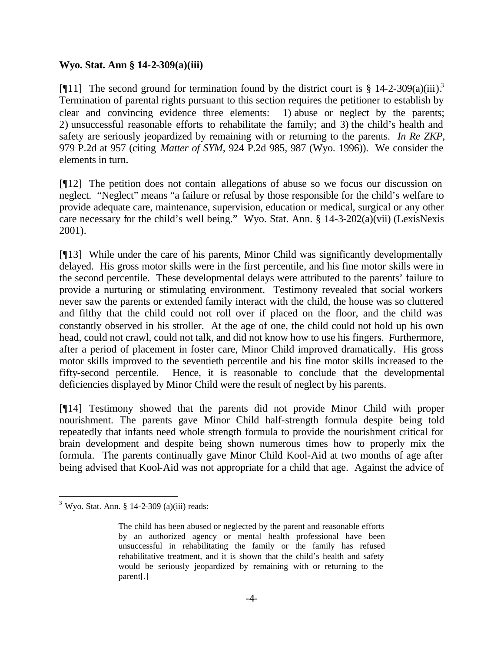#### **Wyo. Stat. Ann § 14-2-309(a)(iii)**

[¶11] The second ground for termination found by the district court is  $§$  14-2-309(a)(iii).<sup>3</sup> Termination of parental rights pursuant to this section requires the petitioner to establish by clear and convincing evidence three elements: 1) abuse or neglect by the parents; 2) unsuccessful reasonable efforts to rehabilitate the family; and 3) the child's health and safety are seriously jeopardized by remaining with or returning to the parents. *In Re ZKP*, 979 P.2d at 957 (citing *Matter of SYM*, 924 P.2d 985, 987 (Wyo. 1996)). We consider the elements in turn.

[¶12] The petition does not contain allegations of abuse so we focus our discussion on neglect. "Neglect" means "a failure or refusal by those responsible for the child's welfare to provide adequate care, maintenance, supervision, education or medical, surgical or any other care necessary for the child's well being." Wyo. Stat. Ann. § 14-3-202(a)(vii) (LexisNexis 2001).

[¶13] While under the care of his parents, Minor Child was significantly developmentally delayed. His gross motor skills were in the first percentile, and his fine motor skills were in the second percentile. These developmental delays were attributed to the parents' failure to provide a nurturing or stimulating environment. Testimony revealed that social workers never saw the parents or extended family interact with the child, the house was so cluttered and filthy that the child could not roll over if placed on the floor, and the child was constantly observed in his stroller. At the age of one, the child could not hold up his own head, could not crawl, could not talk, and did not know how to use his fingers. Furthermore, after a period of placement in foster care, Minor Child improved dramatically. His gross motor skills improved to the seventieth percentile and his fine motor skills increased to the fifty-second percentile. Hence, it is reasonable to conclude that the developmental deficiencies displayed by Minor Child were the result of neglect by his parents.

[¶14] Testimony showed that the parents did not provide Minor Child with proper nourishment. The parents gave Minor Child half-strength formula despite being told repeatedly that infants need whole strength formula to provide the nourishment critical for brain development and despite being shown numerous times how to properly mix the formula. The parents continually gave Minor Child Kool-Aid at two months of age after being advised that Kool-Aid was not appropriate for a child that age. Against the advice of

l

 $3$  Wyo. Stat. Ann. § 14-2-309 (a)(iii) reads:

The child has been abused or neglected by the parent and reasonable efforts by an authorized agency or mental health professional have been unsuccessful in rehabilitating the family or the family has refused rehabilitative treatment, and it is shown that the child's health and safety would be seriously jeopardized by remaining with or returning to the parent[.]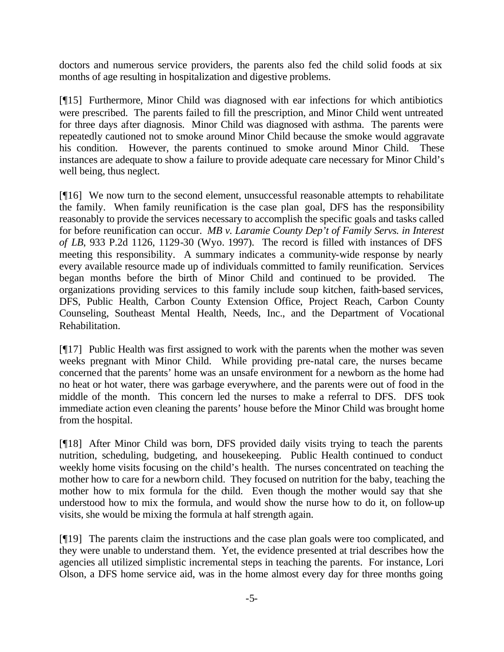doctors and numerous service providers, the parents also fed the child solid foods at six months of age resulting in hospitalization and digestive problems.

[¶15] Furthermore, Minor Child was diagnosed with ear infections for which antibiotics were prescribed. The parents failed to fill the prescription, and Minor Child went untreated for three days after diagnosis. Minor Child was diagnosed with asthma. The parents were repeatedly cautioned not to smoke around Minor Child because the smoke would aggravate his condition. However, the parents continued to smoke around Minor Child. These instances are adequate to show a failure to provide adequate care necessary for Minor Child's well being, thus neglect.

[¶16] We now turn to the second element, unsuccessful reasonable attempts to rehabilitate the family. When family reunification is the case plan goal, DFS has the responsibility reasonably to provide the services necessary to accomplish the specific goals and tasks called for before reunification can occur. *MB v. Laramie County Dep't of Family Servs. in Interest of LB*, 933 P.2d 1126, 1129-30 (Wyo. 1997). The record is filled with instances of DFS meeting this responsibility. A summary indicates a community-wide response by nearly every available resource made up of individuals committed to family reunification. Services began months before the birth of Minor Child and continued to be provided. The organizations providing services to this family include soup kitchen, faith-based services, DFS, Public Health, Carbon County Extension Office, Project Reach, Carbon County Counseling, Southeast Mental Health, Needs, Inc., and the Department of Vocational Rehabilitation.

[¶17] Public Health was first assigned to work with the parents when the mother was seven weeks pregnant with Minor Child. While providing pre-natal care, the nurses became concerned that the parents' home was an unsafe environment for a newborn as the home had no heat or hot water, there was garbage everywhere, and the parents were out of food in the middle of the month. This concern led the nurses to make a referral to DFS. DFS took immediate action even cleaning the parents' house before the Minor Child was brought home from the hospital.

[¶18] After Minor Child was born, DFS provided daily visits trying to teach the parents nutrition, scheduling, budgeting, and housekeeping. Public Health continued to conduct weekly home visits focusing on the child's health. The nurses concentrated on teaching the mother how to care for a newborn child. They focused on nutrition for the baby, teaching the mother how to mix formula for the child. Even though the mother would say that she understood how to mix the formula, and would show the nurse how to do it, on follow-up visits, she would be mixing the formula at half strength again.

[¶19] The parents claim the instructions and the case plan goals were too complicated, and they were unable to understand them. Yet, the evidence presented at trial describes how the agencies all utilized simplistic incremental steps in teaching the parents. For instance, Lori Olson, a DFS home service aid, was in the home almost every day for three months going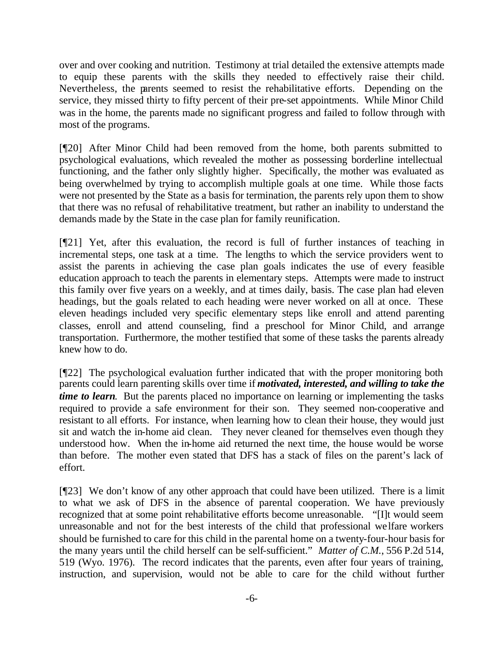over and over cooking and nutrition. Testimony at trial detailed the extensive attempts made to equip these parents with the skills they needed to effectively raise their child. Nevertheless, the parents seemed to resist the rehabilitative efforts. Depending on the service, they missed thirty to fifty percent of their pre-set appointments. While Minor Child was in the home, the parents made no significant progress and failed to follow through with most of the programs.

[¶20] After Minor Child had been removed from the home, both parents submitted to psychological evaluations, which revealed the mother as possessing borderline intellectual functioning, and the father only slightly higher. Specifically, the mother was evaluated as being overwhelmed by trying to accomplish multiple goals at one time. While those facts were not presented by the State as a basis for termination, the parents rely upon them to show that there was no refusal of rehabilitative treatment, but rather an inability to understand the demands made by the State in the case plan for family reunification.

[¶21] Yet, after this evaluation, the record is full of further instances of teaching in incremental steps, one task at a time. The lengths to which the service providers went to assist the parents in achieving the case plan goals indicates the use of every feasible education approach to teach the parents in elementary steps. Attempts were made to instruct this family over five years on a weekly, and at times daily, basis. The case plan had eleven headings, but the goals related to each heading were never worked on all at once. These eleven headings included very specific elementary steps like enroll and attend parenting classes, enroll and attend counseling, find a preschool for Minor Child, and arrange transportation. Furthermore, the mother testified that some of these tasks the parents already knew how to do.

[¶22] The psychological evaluation further indicated that with the proper monitoring both parents could learn parenting skills over time if *motivated, interested, and willing to take the time to learn*. But the parents placed no importance on learning or implementing the tasks required to provide a safe environment for their son. They seemed non-cooperative and resistant to all efforts. For instance, when learning how to clean their house, they would just sit and watch the in-home aid clean. They never cleaned for themselves even though they understood how. When the in-home aid returned the next time, the house would be worse than before. The mother even stated that DFS has a stack of files on the parent's lack of effort.

[¶23] We don't know of any other approach that could have been utilized. There is a limit to what we ask of DFS in the absence of parental cooperation. We have previously recognized that at some point rehabilitative efforts become unreasonable. "[I]t would seem unreasonable and not for the best interests of the child that professional welfare workers should be furnished to care for this child in the parental home on a twenty-four-hour basis for the many years until the child herself can be self-sufficient." *Matter of C.M.*, 556 P.2d 514, 519 (Wyo. 1976). The record indicates that the parents, even after four years of training, instruction, and supervision, would not be able to care for the child without further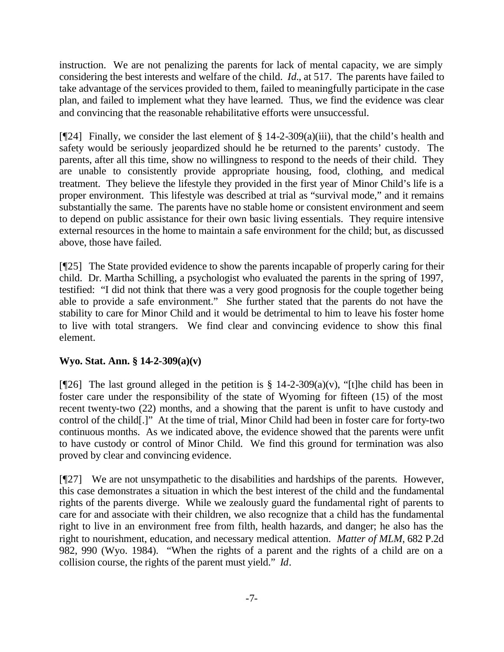instruction. We are not penalizing the parents for lack of mental capacity, we are simply considering the best interests and welfare of the child. *Id.*, at 517. The parents have failed to take advantage of the services provided to them, failed to meaningfully participate in the case plan, and failed to implement what they have learned. Thus, we find the evidence was clear and convincing that the reasonable rehabilitative efforts were unsuccessful.

[ $[924]$ ] Finally, we consider the last element of § 14-2-309(a)(iii), that the child's health and safety would be seriously jeopardized should he be returned to the parents' custody. The parents, after all this time, show no willingness to respond to the needs of their child. They are unable to consistently provide appropriate housing, food, clothing, and medical treatment. They believe the lifestyle they provided in the first year of Minor Child's life is a proper environment. This lifestyle was described at trial as "survival mode," and it remains substantially the same. The parents have no stable home or consistent environment and seem to depend on public assistance for their own basic living essentials. They require intensive external resources in the home to maintain a safe environment for the child; but, as discussed above, those have failed.

[¶25] The State provided evidence to show the parents incapable of properly caring for their child. Dr. Martha Schilling, a psychologist who evaluated the parents in the spring of 1997, testified: "I did not think that there was a very good prognosis for the couple together being able to provide a safe environment." She further stated that the parents do not have the stability to care for Minor Child and it would be detrimental to him to leave his foster home to live with total strangers. We find clear and convincing evidence to show this final element.

### **Wyo. Stat. Ann. § 14-2-309(a)(v)**

[ $[26]$ ] The last ground alleged in the petition is § 14-2-309(a)(v), "[t]he child has been in foster care under the responsibility of the state of Wyoming for fifteen (15) of the most recent twenty-two (22) months, and a showing that the parent is unfit to have custody and control of the child[.]" At the time of trial, Minor Child had been in foster care for forty-two continuous months. As we indicated above, the evidence showed that the parents were unfit to have custody or control of Minor Child. We find this ground for termination was also proved by clear and convincing evidence.

[¶27] We are not unsympathetic to the disabilities and hardships of the parents. However, this case demonstrates a situation in which the best interest of the child and the fundamental rights of the parents diverge. While we zealously guard the fundamental right of parents to care for and associate with their children, we also recognize that a child has the fundamental right to live in an environment free from filth, health hazards, and danger; he also has the right to nourishment, education, and necessary medical attention. *Matter of MLM*, 682 P.2d 982, 990 (Wyo. 1984). "When the rights of a parent and the rights of a child are on a collision course, the rights of the parent must yield." *Id*.